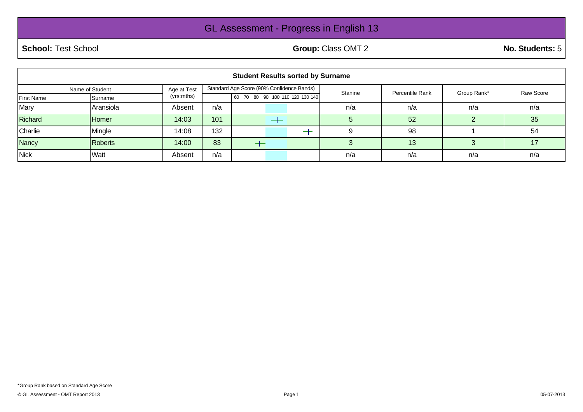## GL Assessment - Progress in English 13

**School:** Test School **Group:** Class OMT 2 **No. Students:** 5

| <b>Student Results sorted by Surname</b> |              |             |                                           |                                 |  |         |                 |             |           |
|------------------------------------------|--------------|-------------|-------------------------------------------|---------------------------------|--|---------|-----------------|-------------|-----------|
| Name of Student                          |              | Age at Test | Standard Age Score (90% Confidence Bands) |                                 |  | Stanine | Percentile Rank | Group Rank* | Raw Score |
| <b>First Name</b>                        | Surname      | (yrs:mths)  |                                           | 60 70 80 90 100 110 120 130 140 |  |         |                 |             |           |
| Mary                                     | Aransiola    | Absent      | n/a                                       |                                 |  | n/a     | n/a             | n/a         | n/a       |
| Richard                                  | <b>Homer</b> | 14:03       | 101                                       |                                 |  |         | 52              |             | 35        |
| Charlie                                  | Mingle       | 14:08       | 132                                       |                                 |  |         | 98              |             | 54        |
| <b>Nancy</b>                             | Roberts      | 14:00       | 83                                        |                                 |  |         | 13              | 3           | 17        |
| <b>Nick</b>                              | Watt         | Absent      | n/a                                       |                                 |  | n/a     | n/a             | n/a         | n/a       |